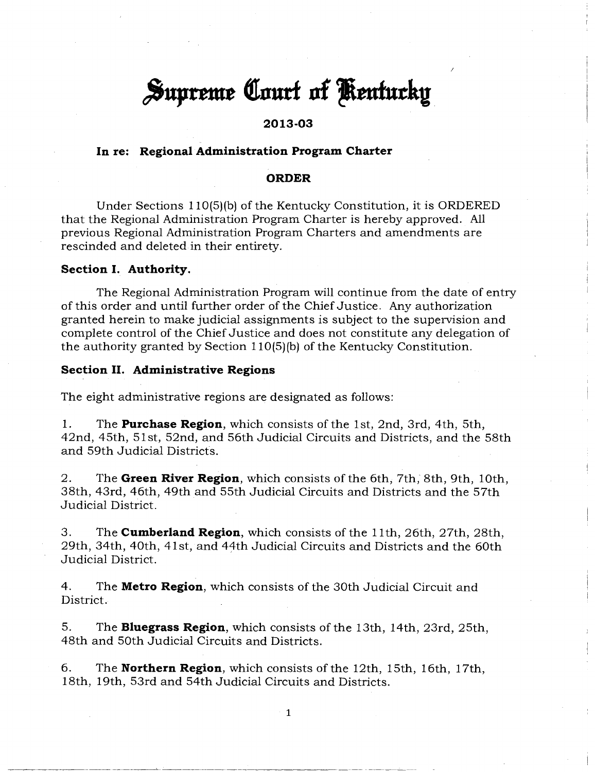# **Supreme Court of Kentucky**

# **2013-03**

# **In re: Regional Administration Program Charter**

#### **ORDER**

Under Sections 110(5)(b) of the Kentucky Constitution, it is ORDERED that the Regional Administration Program Charter is hereby approved. All previous Regional Administration Program Charters and amendments are rescinded and deleted in their entirety.

## **Section I. Authority.**

The Regional Administration Program will continue from the date of entry of this order and until further order of the Chief Justice. Any authorization granted herein to make judicial assignments is subject to the supervision and complete control of the Chief Justice and does not constitute any delegation of the authority granted by Section 110(5)(b) of the Kentucky Constitution.

## **Section II. Administrative Regions**

The eight administrative regions are designated as follows:

1. The **Purchase Region,** which consists of the 1st, 2nd, 3rd, 4th, 5th, 42nd, 45th, 51st, 52nd, and 56th Judicial Circuits and Districts, and the 58th and 59th Judicial Districts.

2. The **Green River Region,** which consists of the 6th, 7th, 8th, 9th, 10th, 38th, 43rd, 46th, 49th and 55th Judicial Circuits and Districts and the 57th Judicial District.

3. The **Cumberland Region,** which consists of the 11th, 26th, 27th, 28th, 29th, 34th, 40th, 41st, and 44th Judicial Circuits and Districts and the 60th Judicial District.

4. The **Metro Region,** which consists of the 30th Judicial Circuit and District.

5. The **Bluegrass Region,** which consists of the 13th, 14th, 23rd, 25th, 48th and 50th Judicial Circuits and Districts.

6. The **Northern Region,** which consists of the 12th, 15th, 16th, 17th, 18th, 19th, 53rd and 54th Judicial Circuits and Districts.

1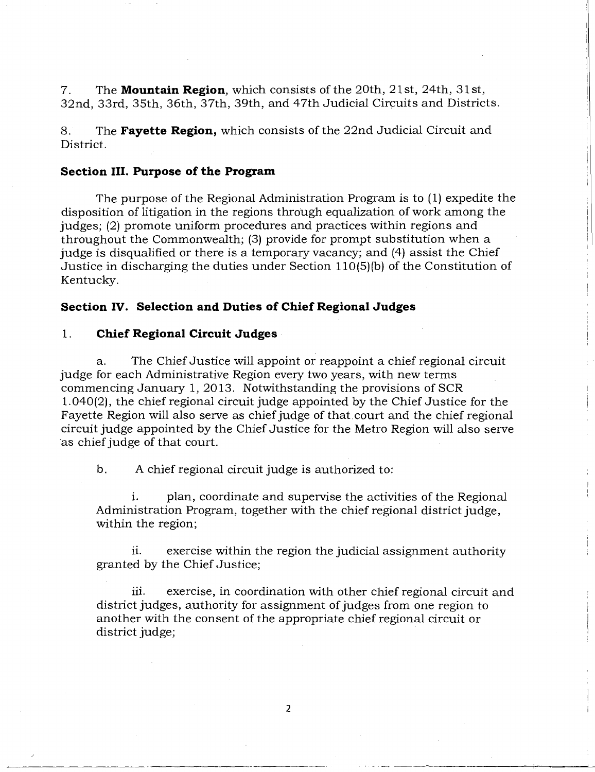7. The **Mountain Region,** which consists of the 20th, 21st, 24th, 31st, 32nd, 33rd, 35th, 36th, 37th, 39th, and 47th Judicial Circuits and Districts.

8. The **Fayette Region,** which consists of the 22nd Judicial Circuit and District.

## **Section III. Purpose of the Program**

The purpose of the Regional Administration Program is to (1) expedite the disposition of litigation in the regions through equalization of work among the judges; (2) promote uniform procedures and practices within regions and throughout the Commonwealth; (3) provide for prompt substitution when a judge is disqualified or there is a temporary vacancy; and (4) assist the Chief Justice in discharging the duties under Section 110(5)(b) of the Constitution of Kentucky.

## **Section IV. Selection and Duties of Chief Regional Judges**

## 1. **Chief Regional Circuit Judges**

a. The Chief Justice will appoint or reappoint a chief regional circuit judge for each Administrative Region every two years, with new terms commencing January 1, 2013. Notwithstanding the provisions of SCR 1.040(2), the chief regional circuit judge appointed by the Chief Justice for the Fayette Region will also serve as chief judge of that court and the chief regional circuit judge appointed by the Chief Justice for the Metro Region will also serve as chief judge of that court.

b. A chief regional circuit judge is authorized to:

i. plan, coordinate and supervise the activities of the Regional Administration Program, together with the chief regional district judge, within the region;

ii. exercise within the region the judicial assignment authority granted by the Chief Justice;

iii. exercise, in coordination with other chief regional circuit and district judges, authority for assignment of judges from one region to another with the consent of the appropriate chief regional circuit or district judge;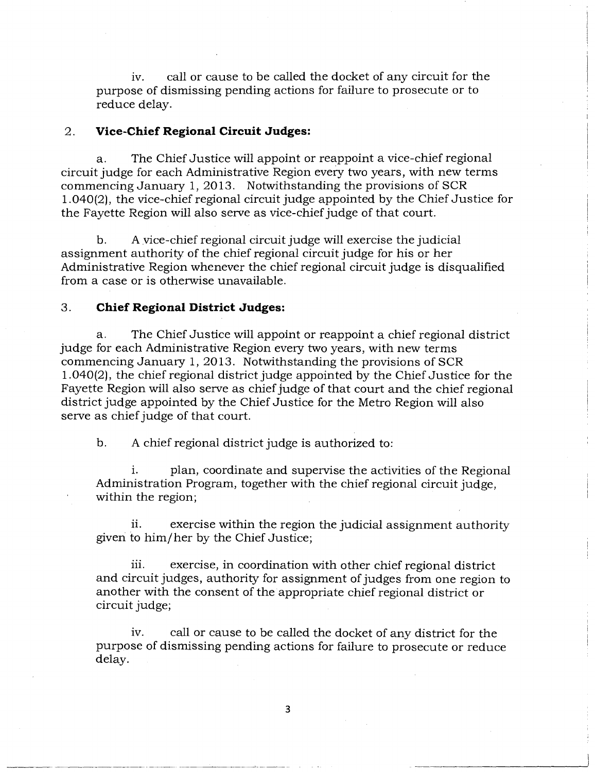iv. call or cause to be called the docket of any circuit for the purpose of dismissing pending actions for failure to prosecute or to reduce delay.

## 2. **Vice-Chief Regional Circuit Judges:**

a. The Chief Justice will appoint or reappoint a vice-chief regional circuit judge for each Administrative Region every two years, with new terms commencing January 1, 2013. Notwithstanding the provisions of SCR 1.040(2), the vice-chief regional circuit judge appointed by the Chief Justice for the Fayette Region will also serve as vice-chief judge of that court.

b. A vice-chief regional circuit judge will exercise the judicial assignment authority of the chief regional circuit judge for his or her Administrative Region whenever the chief regional circuit judge is disqualified from a case or is otherwise unavailable.

## 3. **Chief Regional District Judges:**

a. The Chief Justice will appoint or reappoint a chief regional district judge for each Administrative Region every two years, with new terms commencing January 1, 2013. Notwithstanding the provisions of SCR 1.040(2), the chief regional district judge appointed by the Chief Justice for the Fayette Region will also serve as chief judge of that court and the chief regional district judge appointed by the Chief Justice for the Metro Region will also serve as chief judge of that court.

b. A chief regional district judge is authorized to:

i. plan, coordinate and supervise the activities of the Regional Administration Program, together with the chief regional circuit judge, within the region;

ii. exercise within the region the judicial assignment authority given to him/her by the Chief Justice;

iii. exercise, in coordination with other chief regional district and circuit judges, authority for assignment of judges from one region to another with the consent of the appropriate chief regional district or circuit judge;

iv. call or cause to be called the docket of any district for the purpose of dismissing pending actions for failure to prosecute or reduce delay.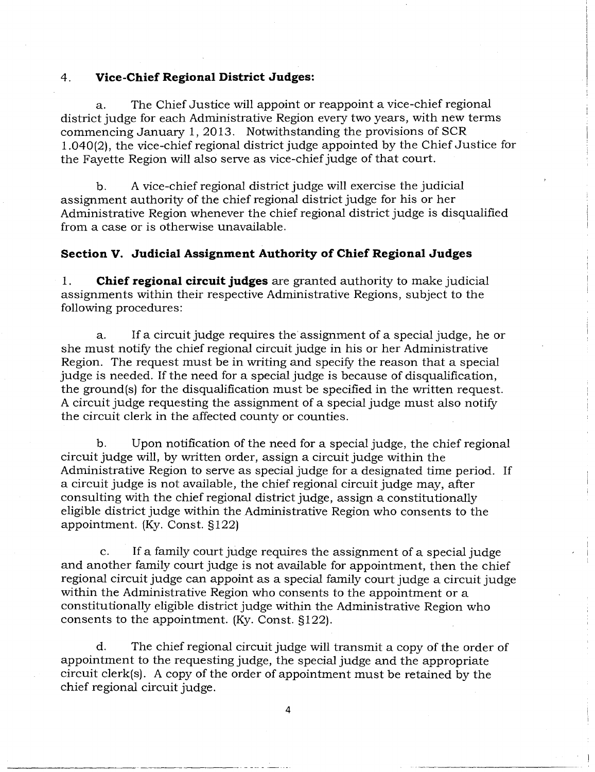#### 4. **Vice-Chief Regional District Judges:**

a. The Chief Justice will appoint or reappoint a vice-chief regional district judge for each Administrative Region every two years, with new terms commencing January 1, 2013. Notwithstanding the provisions of SCR 1.040(2), the vice-chief regional district judge appointed by the Chief Justice for the Fayette Region will also serve as vice-chief judge of that court.

b. A vice-chief regional district judge will exercise the judicial assignment authority of the chief regional district judge for his or her Administrative Region whenever the chief regional district judge is disqualified from a case or is otherwise unavailable.

# **Section V. Judicial Assignment Authority of Chief Regional Judges**

1. **Chief regional circuit judges** are granted authority to make judicial assignments within their respective Administrative Regions, subject to the following procedures:

a. If a circuit judge requires the assignment of a special judge, he or she must notify the chief regional circuit judge in his or her Administrative Region. The request must be in writing and specify the reason that a special judge is needed. If the need for a special judge is because of disqualification, the ground(s) for the disqualification must be specified in the written request. A circuit judge requesting the assignment of a special judge must also notify the circuit clerk in the affected county or counties.

b. Upon notification of the need for a special judge, the chief regional circuit judge will, by written order, assign a circuit judge within the Administrative Region to serve as special judge for a designated time period. If a circuit judge is not available, the chief regional circuit judge may, after consulting with the chief regional district judge, assign a constitutionally eligible district judge within the Administrative Region who consents to the appointment. (Ky. Const. §122)

c. If a family court judge requires the assignment of a special judge and another family court judge is not available for appointment, then the chief regional circuit judge can appoint as a special family court judge a circuit judge within the Administrative Region who consents to the appointment or a constitutionally eligible district judge within the Administrative Region who consents to the appointment. (Ky. Const. §122).

d. The chief regional circuit judge will transmit a copy of the order of appointment to the requesting judge, the special judge and the appropriate circuit clerk(s). A copy of the order of appointment must be retained by the chief regional circuit judge.

4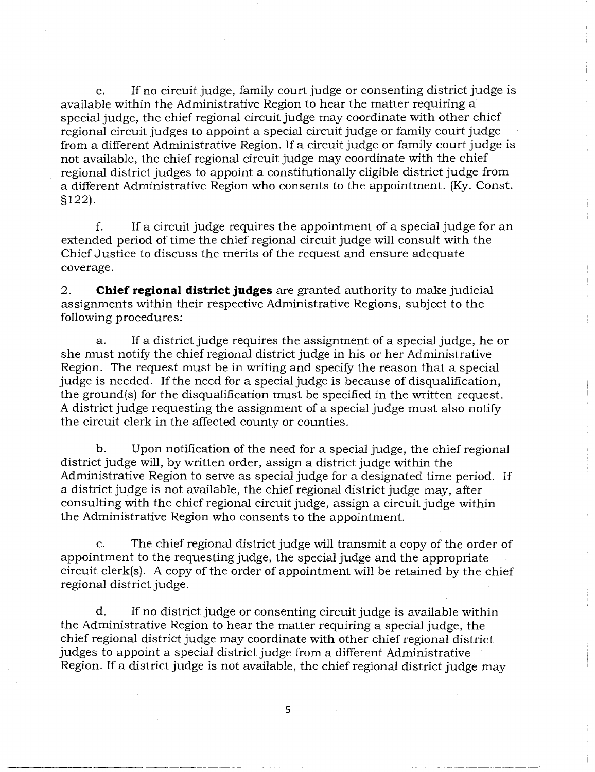e. If no circuit judge, family court judge or consenting district judge is available within the Administrative Region to hear the matter requiring a special judge, the chief regional circuit judge may coordinate with other chief regional circuit judges to appoint a special circuit judge or family court judge from a different Administrative Region. If a circuit judge or family court judge is not available, the chief regional circuit judge may coordinate with the chief regional district judges to appoint a constitutionally eligible district judge from a different Administrative Region who consents to the appointment. (Ky. Const. §122).

f. If a circuit judge requires the appointment of a special judge for an extended period of time the chief regional circuit judge will consult with the Chief Justice to discuss the merits of the request and ensure adequate coverage.

2. **Chief regional district judges** are granted authority to make judicial assignments within their respective Administrative Regions, subject to the following procedures:

a. If a district judge requires the assignment of a special judge, he or she must notify the chief regional district judge in his or her Administrative Region. The request must be in writing and specify the reason that a special judge is needed. If the need for a special judge is because of disqualification, the ground(s) for the disqualification must be specified in the written request. A district judge requesting the assignment of a special judge must also notify the circuit clerk in the affected county or counties.

b. Upon notification of the need for a special judge, the chief regional district judge will, by written order, assign a district judge within the Administrative Region to serve as special judge for a designated time period. If a district judge is not available, the chief regional district judge may, after consulting with the chief regional circuit judge, assign a circuit judge within the Administrative Region who consents to the appointment.

c. The chief regional district judge will transmit a copy of the order of appointment to the requesting judge, the special judge and the appropriate circuit clerk(s). A copy of the order of appointment will be retained by the chief regional district judge.

d. If no district judge or consenting circuit judge is available within the Administrative Region to hear the matter requiring a special judge, the chief regional district judge may coordinate with other chief regional district judges to appoint a special district judge from a different Administrative Region. If a district judge is not available, the chief regional district judge may

5